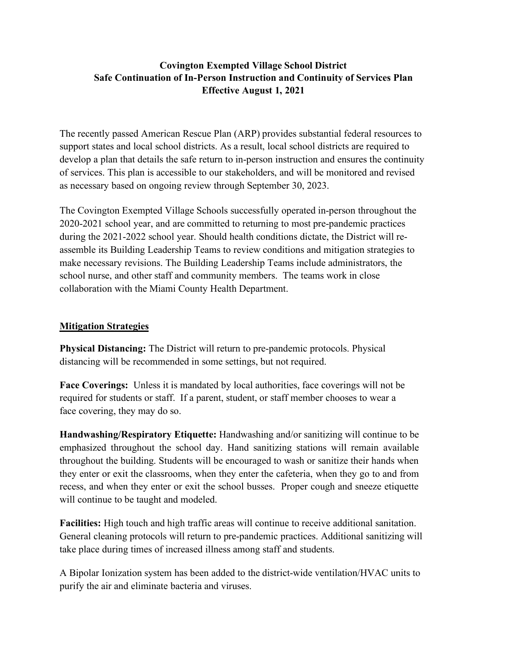## **Covington Exempted Village School District Safe Continuation of In-Person Instruction and Continuity of Services Plan Effective August 1, 2021**

The recently passed American Rescue Plan (ARP) provides substantial federal resources to support states and local school districts. As a result, local school districts are required to develop a plan that details the safe return to in-person instruction and ensures the continuity of services. This plan is accessible to our stakeholders, and will be monitored and revised as necessary based on ongoing review through September 30, 2023.

The Covington Exempted Village Schools successfully operated in-person throughout the 2020-2021 school year, and are committed to returning to most pre-pandemic practices during the 2021-2022 school year. Should health conditions dictate, the District will reassemble its Building Leadership Teams to review conditions and mitigation strategies to make necessary revisions. The Building Leadership Teams include administrators, the school nurse, and other staff and community members. The teams work in close collaboration with the Miami County Health Department.

### **Mitigation Strategies**

**Physical Distancing:** The District will return to pre-pandemic protocols. Physical distancing will be recommended in some settings, but not required.

**Face Coverings:** Unless it is mandated by local authorities, face coverings will not be required for students or staff. If a parent, student, or staff member chooses to wear a face covering, they may do so.

**Handwashing/Respiratory Etiquette:** Handwashing and/or sanitizing will continue to be emphasized throughout the school day. Hand sanitizing stations will remain available throughout the building. Students will be encouraged to wash or sanitize their hands when they enter or exit the classrooms, when they enter the cafeteria, when they go to and from recess, and when they enter or exit the school busses. Proper cough and sneeze etiquette will continue to be taught and modeled.

**Facilities:** High touch and high traffic areas will continue to receive additional sanitation. General cleaning protocols will return to pre-pandemic practices. Additional sanitizing will take place during times of increased illness among staff and students.

A Bipolar Ionization system has been added to the district-wide ventilation/HVAC units to purify the air and eliminate bacteria and viruses.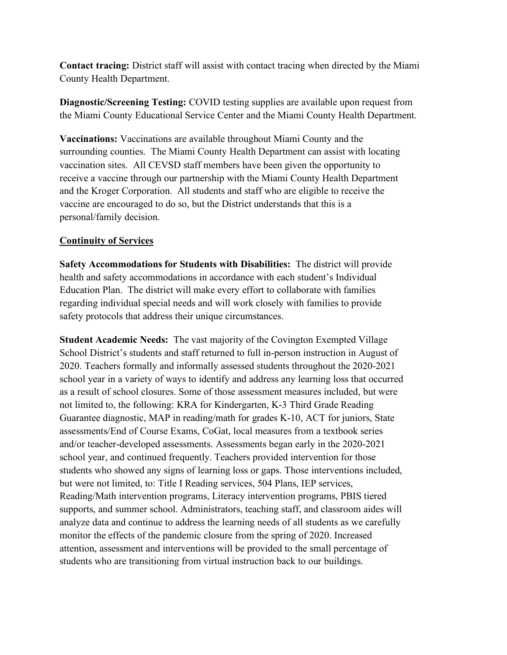**Contact tracing:** District staff will assist with contact tracing when directed by the Miami County Health Department.

**Diagnostic/Screening Testing:** COVID testing supplies are available upon request from the Miami County Educational Service Center and the Miami County Health Department.

**Vaccinations:** Vaccinations are available throughout Miami County and the surrounding counties. The Miami County Health Department can assist with locating vaccination sites. All CEVSD staff members have been given the opportunity to receive a vaccine through our partnership with the Miami County Health Department and the Kroger Corporation. All students and staff who are eligible to receive the vaccine are encouraged to do so, but the District understands that this is a personal/family decision.

### **Continuity of Services**

**Safety Accommodations for Students with Disabilities:** The district will provide health and safety accommodations in accordance with each student's Individual Education Plan. The district will make every effort to collaborate with families regarding individual special needs and will work closely with families to provide safety protocols that address their unique circumstances.

**Student Academic Needs:** The vast majority of the Covington Exempted Village School District's students and staff returned to full in-person instruction in August of 2020. Teachers formally and informally assessed students throughout the 2020-2021 school year in a variety of ways to identify and address any learning loss that occurred as a result of school closures. Some of those assessment measures included, but were not limited to, the following: KRA for Kindergarten, K-3 Third Grade Reading Guarantee diagnostic, MAP in reading/math for grades K-10, ACT for juniors, State assessments/End of Course Exams, CoGat, local measures from a textbook series and/or teacher-developed assessments. Assessments began early in the 2020-2021 school year, and continued frequently. Teachers provided intervention for those students who showed any signs of learning loss or gaps. Those interventions included, but were not limited, to: Title I Reading services, 504 Plans, IEP services, Reading/Math intervention programs, Literacy intervention programs, PBIS tiered supports, and summer school. Administrators, teaching staff, and classroom aides will analyze data and continue to address the learning needs of all students as we carefully monitor the effects of the pandemic closure from the spring of 2020. Increased attention, assessment and interventions will be provided to the small percentage of students who are transitioning from virtual instruction back to our buildings.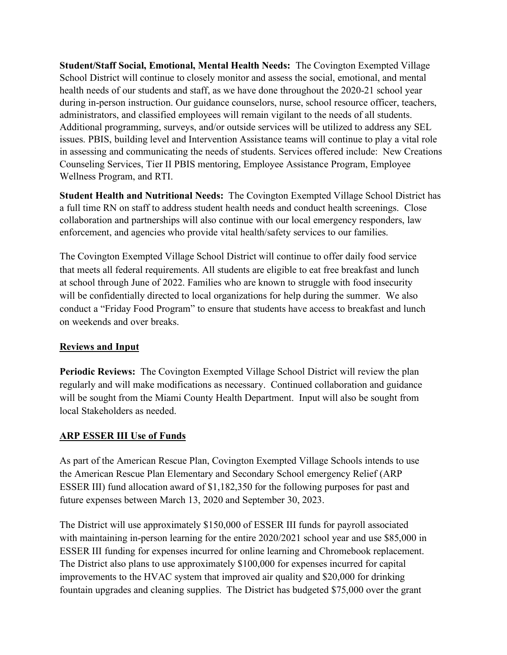**Student/Staff Social, Emotional, Mental Health Needs:** The Covington Exempted Village School District will continue to closely monitor and assess the social, emotional, and mental health needs of our students and staff, as we have done throughout the 2020-21 school year during in-person instruction. Our guidance counselors, nurse, school resource officer, teachers, administrators, and classified employees will remain vigilant to the needs of all students. Additional programming, surveys, and/or outside services will be utilized to address any SEL issues. PBIS, building level and Intervention Assistance teams will continue to play a vital role in assessing and communicating the needs of students. Services offered include: New Creations Counseling Services, Tier II PBIS mentoring, Employee Assistance Program, Employee Wellness Program, and RTI.

**Student Health and Nutritional Needs:** The Covington Exempted Village School District has a full time RN on staff to address student health needs and conduct health screenings. Close collaboration and partnerships will also continue with our local emergency responders, law enforcement, and agencies who provide vital health/safety services to our families.

The Covington Exempted Village School District will continue to offer daily food service that meets all federal requirements. All students are eligible to eat free breakfast and lunch at school through June of 2022. Families who are known to struggle with food insecurity will be confidentially directed to local organizations for help during the summer. We also conduct a "Friday Food Program" to ensure that students have access to breakfast and lunch on weekends and over breaks.

### **Reviews and Input**

**Periodic Reviews:** The Covington Exempted Village School District will review the plan regularly and will make modifications as necessary. Continued collaboration and guidance will be sought from the Miami County Health Department. Input will also be sought from local Stakeholders as needed.

# **ARP ESSER III Use of Funds**

As part of the American Rescue Plan, Covington Exempted Village Schools intends to use the American Rescue Plan Elementary and Secondary School emergency Relief (ARP ESSER III) fund allocation award of \$1,182,350 for the following purposes for past and future expenses between March 13, 2020 and September 30, 2023.

The District will use approximately \$150,000 of ESSER III funds for payroll associated with maintaining in-person learning for the entire 2020/2021 school year and use \$85,000 in ESSER III funding for expenses incurred for online learning and Chromebook replacement. The District also plans to use approximately \$100,000 for expenses incurred for capital improvements to the HVAC system that improved air quality and \$20,000 for drinking fountain upgrades and cleaning supplies. The District has budgeted \$75,000 over the grant